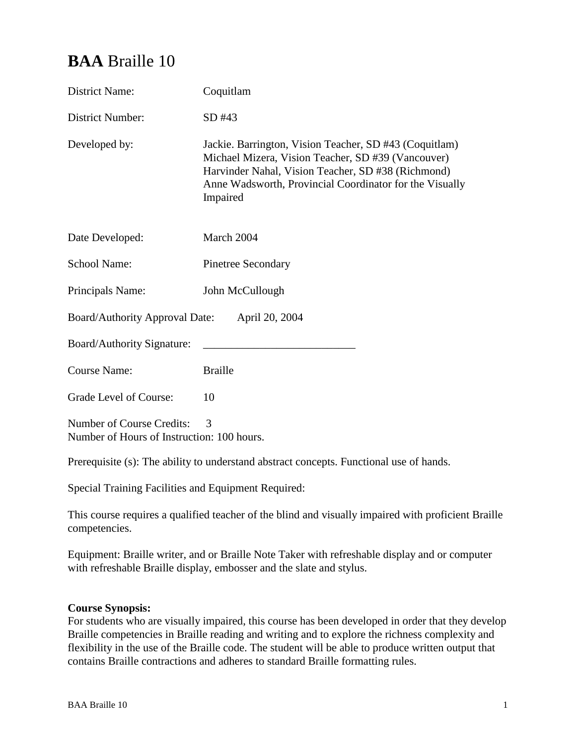# **BAA** Braille 10

| <b>District Name:</b>                                                   | Coquitlam                                                                                                                                                                                                                                 |  |
|-------------------------------------------------------------------------|-------------------------------------------------------------------------------------------------------------------------------------------------------------------------------------------------------------------------------------------|--|
| District Number:                                                        | SD#43                                                                                                                                                                                                                                     |  |
| Developed by:                                                           | Jackie. Barrington, Vision Teacher, SD #43 (Coquitlam)<br>Michael Mizera, Vision Teacher, SD #39 (Vancouver)<br>Harvinder Nahal, Vision Teacher, SD #38 (Richmond)<br>Anne Wadsworth, Provincial Coordinator for the Visually<br>Impaired |  |
| Date Developed:                                                         | March 2004                                                                                                                                                                                                                                |  |
| <b>School Name:</b>                                                     | <b>Pinetree Secondary</b>                                                                                                                                                                                                                 |  |
| Principals Name:                                                        | John McCullough                                                                                                                                                                                                                           |  |
| <b>Board/Authority Approval Date:</b><br>April 20, 2004                 |                                                                                                                                                                                                                                           |  |
| Board/Authority Signature:                                              |                                                                                                                                                                                                                                           |  |
| <b>Course Name:</b>                                                     | <b>Braille</b>                                                                                                                                                                                                                            |  |
| Grade Level of Course:                                                  | 10                                                                                                                                                                                                                                        |  |
| Number of Course Credits:<br>Number of Hours of Instruction: 100 hours. | 3                                                                                                                                                                                                                                         |  |

Prerequisite (s): The ability to understand abstract concepts. Functional use of hands.

Special Training Facilities and Equipment Required:

This course requires a qualified teacher of the blind and visually impaired with proficient Braille competencies.

Equipment: Braille writer, and or Braille Note Taker with refreshable display and or computer with refreshable Braille display, embosser and the slate and stylus.

# **Course Synopsis:**

For students who are visually impaired, this course has been developed in order that they develop Braille competencies in Braille reading and writing and to explore the richness complexity and flexibility in the use of the Braille code. The student will be able to produce written output that contains Braille contractions and adheres to standard Braille formatting rules.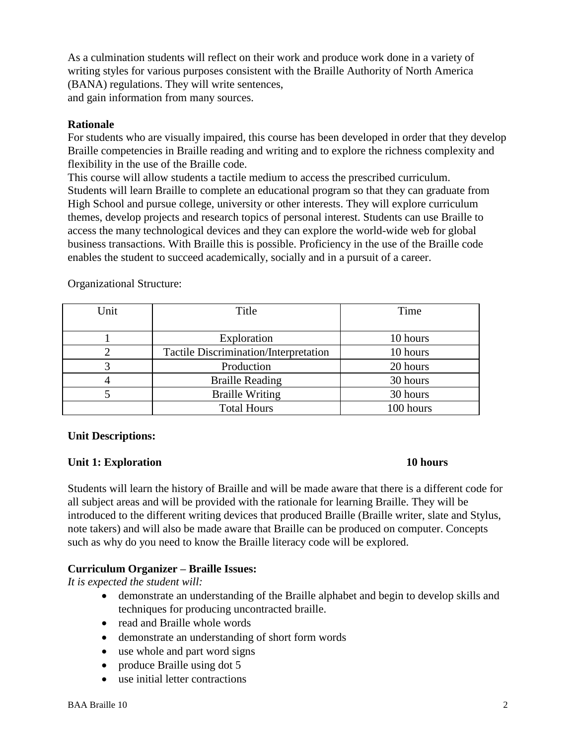As a culmination students will reflect on their work and produce work done in a variety of writing styles for various purposes consistent with the Braille Authority of North America (BANA) regulations. They will write sentences, and gain information from many sources.

#### **Rationale**

For students who are visually impaired, this course has been developed in order that they develop Braille competencies in Braille reading and writing and to explore the richness complexity and flexibility in the use of the Braille code.

This course will allow students a tactile medium to access the prescribed curriculum. Students will learn Braille to complete an educational program so that they can graduate from High School and pursue college, university or other interests. They will explore curriculum themes, develop projects and research topics of personal interest. Students can use Braille to access the many technological devices and they can explore the world-wide web for global business transactions. With Braille this is possible. Proficiency in the use of the Braille code enables the student to succeed academically, socially and in a pursuit of a career.

| Unit | Title                                        | Time      |
|------|----------------------------------------------|-----------|
|      |                                              |           |
|      | Exploration                                  | 10 hours  |
|      | <b>Tactile Discrimination/Interpretation</b> | 10 hours  |
|      | Production                                   | 20 hours  |
|      | <b>Braille Reading</b>                       | 30 hours  |
|      | <b>Braille Writing</b>                       | 30 hours  |
|      | <b>Total Hours</b>                           | 100 hours |

Organizational Structure:

# **Unit Descriptions:**

# **Unit 1: Exploration** 10 hours

Students will learn the history of Braille and will be made aware that there is a different code for all subject areas and will be provided with the rationale for learning Braille. They will be introduced to the different writing devices that produced Braille (Braille writer, slate and Stylus, note takers) and will also be made aware that Braille can be produced on computer. Concepts such as why do you need to know the Braille literacy code will be explored.

# **Curriculum Organizer – Braille Issues:**

*It is expected the student will:*

- demonstrate an understanding of the Braille alphabet and begin to develop skills and techniques for producing uncontracted braille.
- read and Braille whole words
- demonstrate an understanding of short form words
- use whole and part word signs
- produce Braille using dot 5
- use initial letter contractions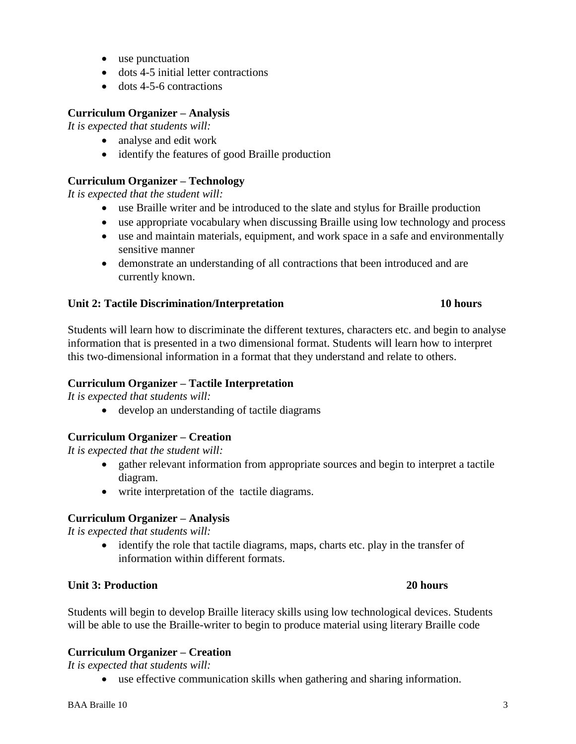- use punctuation
- dots 4-5 initial letter contractions
- $\bullet$  dots 4-5-6 contractions

#### **Curriculum Organizer – Analysis**

*It is expected that students will:*

- analyse and edit work
- identify the features of good Braille production

# **Curriculum Organizer – Technology**

*It is expected that the student will:*

- use Braille writer and be introduced to the slate and stylus for Braille production
- use appropriate vocabulary when discussing Braille using low technology and process
- use and maintain materials, equipment, and work space in a safe and environmentally sensitive manner
- demonstrate an understanding of all contractions that been introduced and are currently known.

#### **Unit 2: Tactile Discrimination/Interpretation 10 hours**

# Students will learn how to discriminate the different textures, characters etc. and begin to analyse information that is presented in a two dimensional format. Students will learn how to interpret this two-dimensional information in a format that they understand and relate to others.

# **Curriculum Organizer – Tactile Interpretation**

*It is expected that students will:*

develop an understanding of tactile diagrams

# **Curriculum Organizer – Creation**

*It is expected that the student will:*

- gather relevant information from appropriate sources and begin to interpret a tactile diagram.
- write interpretation of the tactile diagrams.

# **Curriculum Organizer – Analysis**

*It is expected that students will:*

 identify the role that tactile diagrams, maps, charts etc. play in the transfer of information within different formats.

# **Unit 3: Production 20 hours**

Students will begin to develop Braille literacy skills using low technological devices. Students will be able to use the Braille-writer to begin to produce material using literary Braille code

#### **Curriculum Organizer – Creation**

*It is expected that students will:*

use effective communication skills when gathering and sharing information.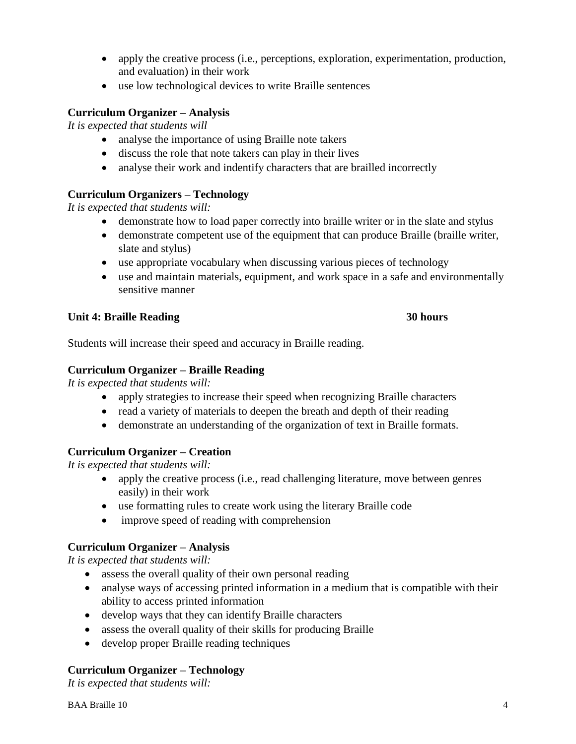- apply the creative process (i.e., perceptions, exploration, experimentation, production, and evaluation) in their work
- use low technological devices to write Braille sentences

# **Curriculum Organizer – Analysis**

*It is expected that students will* 

- analyse the importance of using Braille note takers
- discuss the role that note takers can play in their lives
- analyse their work and indentify characters that are brailled incorrectly

# **Curriculum Organizers – Technology**

*It is expected that students will:*

- demonstrate how to load paper correctly into braille writer or in the slate and stylus
- demonstrate competent use of the equipment that can produce Braille (braille writer, slate and stylus)
- use appropriate vocabulary when discussing various pieces of technology
- use and maintain materials, equipment, and work space in a safe and environmentally sensitive manner

# **Unit 4: Braille Reading 30 hours**

Students will increase their speed and accuracy in Braille reading.

# **Curriculum Organizer – Braille Reading**

*It is expected that students will:*

- apply strategies to increase their speed when recognizing Braille characters
- read a variety of materials to deepen the breath and depth of their reading
- demonstrate an understanding of the organization of text in Braille formats.

# **Curriculum Organizer – Creation**

*It is expected that students will:* 

- apply the creative process (i.e., read challenging literature, move between genres easily) in their work
- use formatting rules to create work using the literary Braille code
- improve speed of reading with comprehension

# **Curriculum Organizer – Analysis**

*It is expected that students will:*

- assess the overall quality of their own personal reading
- analyse ways of accessing printed information in a medium that is compatible with their ability to access printed information
- develop ways that they can identify Braille characters
- assess the overall quality of their skills for producing Braille
- develop proper Braille reading techniques

# **Curriculum Organizer – Technology**

*It is expected that students will:*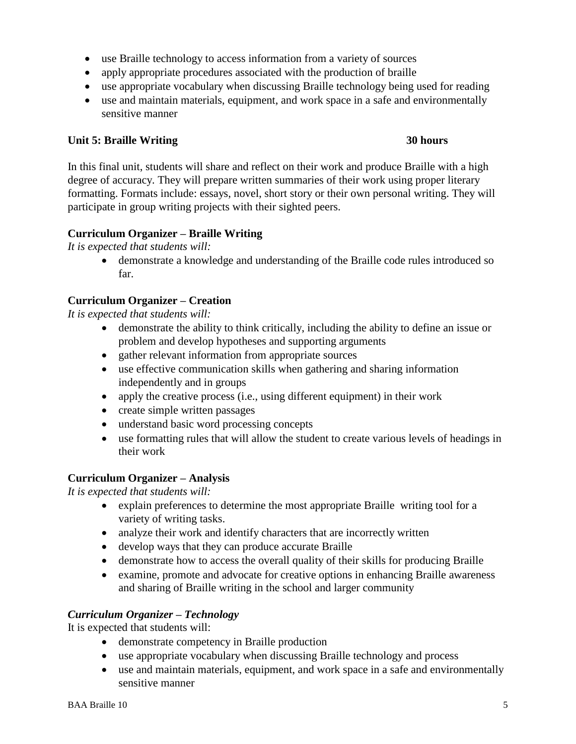- use Braille technology to access information from a variety of sources
- apply appropriate procedures associated with the production of braille
- use appropriate vocabulary when discussing Braille technology being used for reading
- use and maintain materials, equipment, and work space in a safe and environmentally sensitive manner

# **Unit 5: Braille Writing 30 hours**

In this final unit, students will share and reflect on their work and produce Braille with a high degree of accuracy. They will prepare written summaries of their work using proper literary formatting. Formats include: essays, novel, short story or their own personal writing. They will participate in group writing projects with their sighted peers.

# **Curriculum Organizer – Braille Writing**

*It is expected that students will:*

 demonstrate a knowledge and understanding of the Braille code rules introduced so far.

# **Curriculum Organizer – Creation**

*It is expected that students will:*

- demonstrate the ability to think critically, including the ability to define an issue or problem and develop hypotheses and supporting arguments
- gather relevant information from appropriate sources
- use effective communication skills when gathering and sharing information independently and in groups
- apply the creative process (i.e., using different equipment) in their work
- create simple written passages
- understand basic word processing concepts
- use formatting rules that will allow the student to create various levels of headings in their work

# **Curriculum Organizer – Analysis**

*It is expected that students will:*

- explain preferences to determine the most appropriate Braille writing tool for a variety of writing tasks.
- analyze their work and identify characters that are incorrectly written
- develop ways that they can produce accurate Braille
- demonstrate how to access the overall quality of their skills for producing Braille
- examine, promote and advocate for creative options in enhancing Braille awareness and sharing of Braille writing in the school and larger community

# *Curriculum Organizer – Technology*

It is expected that students will:

- demonstrate competency in Braille production
- use appropriate vocabulary when discussing Braille technology and process
- use and maintain materials, equipment, and work space in a safe and environmentally sensitive manner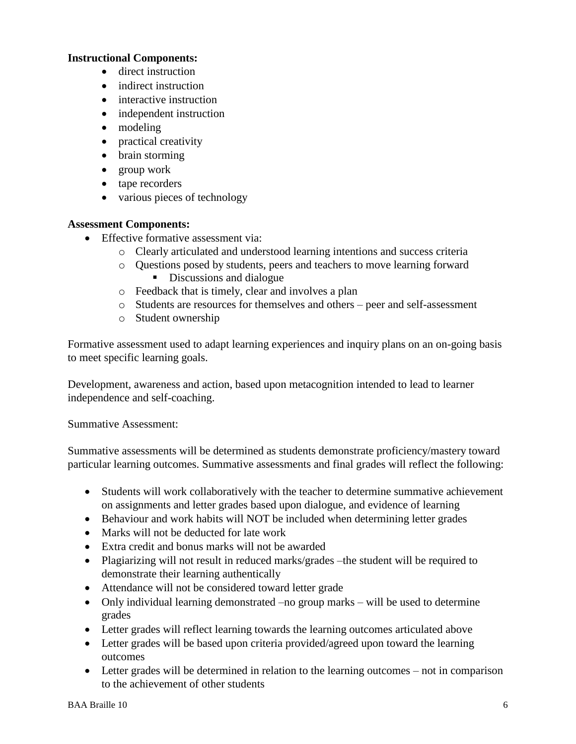# **Instructional Components:**

- direct instruction
- indirect instruction
- interactive instruction
- independent instruction
- modeling
- practical creativity
- brain storming
- group work
- tape recorders
- various pieces of technology

# **Assessment Components:**

- Effective formative assessment via:
	- o Clearly articulated and understood learning intentions and success criteria
	- o Questions posed by students, peers and teachers to move learning forward Discussions and dialogue
	- o Feedback that is timely, clear and involves a plan
	- o Students are resources for themselves and others peer and self-assessment
	- o Student ownership

Formative assessment used to adapt learning experiences and inquiry plans on an on-going basis to meet specific learning goals.

Development, awareness and action, based upon metacognition intended to lead to learner independence and self-coaching.

Summative Assessment:

Summative assessments will be determined as students demonstrate proficiency/mastery toward particular learning outcomes. Summative assessments and final grades will reflect the following:

- Students will work collaboratively with the teacher to determine summative achievement on assignments and letter grades based upon dialogue, and evidence of learning
- Behaviour and work habits will NOT be included when determining letter grades
- Marks will not be deducted for late work
- Extra credit and bonus marks will not be awarded
- Plagiarizing will not result in reduced marks/grades –the student will be required to demonstrate their learning authentically
- Attendance will not be considered toward letter grade
- Only individual learning demonstrated –no group marks will be used to determine grades
- Letter grades will reflect learning towards the learning outcomes articulated above
- Letter grades will be based upon criteria provided/agreed upon toward the learning outcomes
- Letter grades will be determined in relation to the learning outcomes not in comparison to the achievement of other students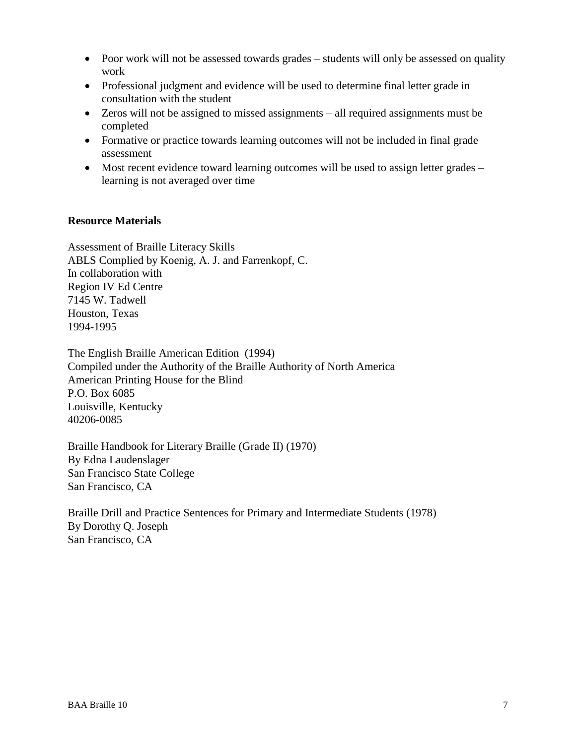- Poor work will not be assessed towards grades students will only be assessed on quality work
- Professional judgment and evidence will be used to determine final letter grade in consultation with the student
- Zeros will not be assigned to missed assignments all required assignments must be completed
- Formative or practice towards learning outcomes will not be included in final grade assessment
- Most recent evidence toward learning outcomes will be used to assign letter grades learning is not averaged over time

# **Resource Materials**

Assessment of Braille Literacy Skills ABLS Complied by Koenig, A. J. and Farrenkopf, C. In collaboration with Region IV Ed Centre 7145 W. Tadwell Houston, Texas 1994-1995

The English Braille American Edition (1994) Compiled under the Authority of the Braille Authority of North America American Printing House for the Blind P.O. Box 6085 Louisville, Kentucky 40206-0085

Braille Handbook for Literary Braille (Grade II) (1970) By Edna Laudenslager San Francisco State College San Francisco, CA

Braille Drill and Practice Sentences for Primary and Intermediate Students (1978) By Dorothy Q. Joseph San Francisco, CA